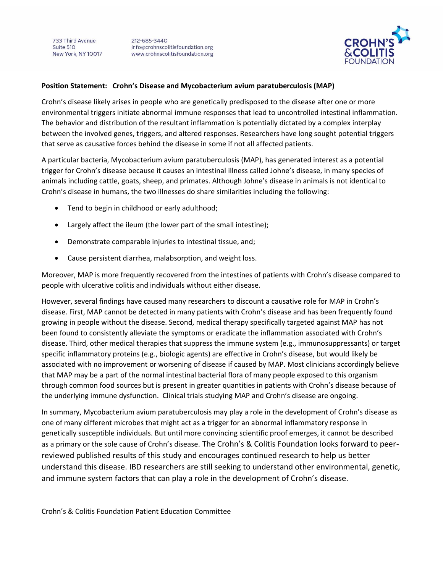212-685-3440 info@crohnscolitisfoundation.org www.crohnscolitisfoundation.org



## **Position Statement: Crohn's Disease and Mycobacterium avium paratuberculosis (MAP)**

Crohn's disease likely arises in people who are genetically predisposed to the disease after one or more environmental triggers initiate abnormal immune responses that lead to uncontrolled intestinal inflammation. The behavior and distribution of the resultant inflammation is potentially dictated by a complex interplay between the involved genes, triggers, and altered responses. Researchers have long sought potential triggers that serve as causative forces behind the disease in some if not all affected patients.

A particular bacteria, Mycobacterium avium paratuberculosis (MAP), has generated interest as a potential trigger for Crohn's disease because it causes an intestinal illness called Johne's disease, in many species of animals including cattle, goats, sheep, and primates. Although Johne's disease in animals is not identical to Crohn's disease in humans, the two illnesses do share similarities including the following:

- Tend to begin in childhood or early adulthood;
- Largely affect the ileum (the lower part of the small intestine);
- Demonstrate comparable injuries to intestinal tissue, and;
- Cause persistent diarrhea, malabsorption, and weight loss.

Moreover, MAP is more frequently recovered from the intestines of patients with Crohn's disease compared to people with ulcerative colitis and individuals without either disease.

However, several findings have caused many researchers to discount a causative role for MAP in Crohn's disease. First, MAP cannot be detected in many patients with Crohn's disease and has been frequently found growing in people without the disease. Second, medical therapy specifically targeted against MAP has not been found to consistently alleviate the symptoms or eradicate the inflammation associated with Crohn's disease. Third, other medical therapies that suppress the immune system (e.g., immunosuppressants) or target specific inflammatory proteins (e.g., biologic agents) are effective in Crohn's disease, but would likely be associated with no improvement or worsening of disease if caused by MAP. Most clinicians accordingly believe that MAP may be a part of the normal intestinal bacterial flora of many people exposed to this organism through common food sources but is present in greater quantities in patients with Crohn's disease because of the underlying immune dysfunction. Clinical trials studying MAP and Crohn's disease are ongoing.

In summary, Mycobacterium avium paratuberculosis may play a role in the development of Crohn's disease as one of many different microbes that might act as a trigger for an abnormal inflammatory response in genetically susceptible individuals. But until more convincing scientific proof emerges, it cannot be described as a primary or the sole cause of Crohn's disease. The Crohn's & Colitis Foundation looks forward to peerreviewed published results of this study and encourages continued research to help us better understand this disease. IBD researchers are still seeking to understand other environmental, genetic, and immune system factors that can play a role in the development of Crohn's disease.

Crohn's & Colitis Foundation Patient Education Committee